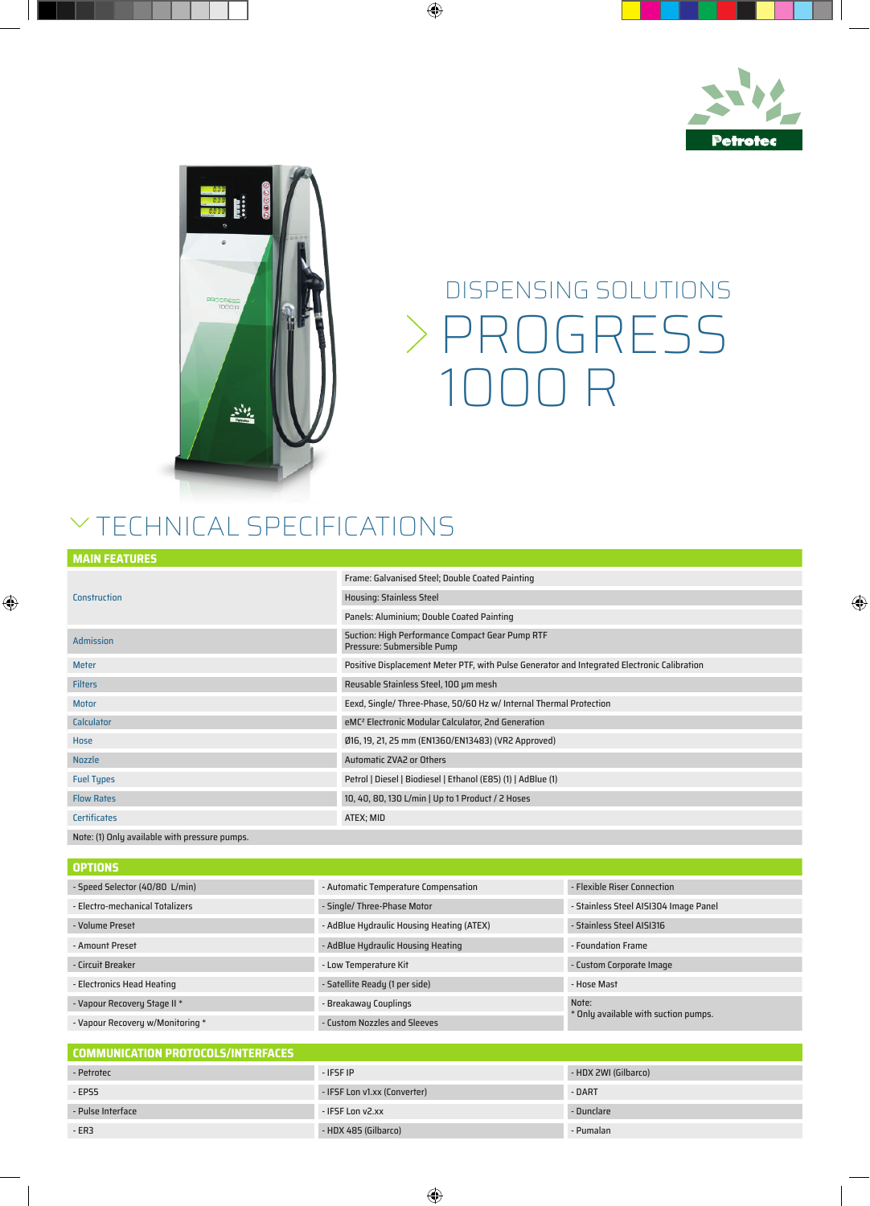



## PROGRESS 1000 R DISPENSING SOLUTIONS

## $\vee$  TECHNICAL SPECIFICATIONS

|  |  | <b>MAIN FEATURES</b> |
|--|--|----------------------|
|  |  |                      |
|  |  |                      |

|                                               | Frame: Galvanised Steel; Double Coated Painting                                             |
|-----------------------------------------------|---------------------------------------------------------------------------------------------|
| <b>Construction</b>                           | <b>Housing: Stainless Steel</b>                                                             |
|                                               | Panels: Aluminium; Double Coated Painting                                                   |
| <b>Admission</b>                              | Suction: High Performance Compact Gear Pump RTF<br>Pressure: Submersible Pump               |
| <b>Meter</b>                                  | Positive Displacement Meter PTF, with Pulse Generator and Integrated Electronic Calibration |
| <b>Filters</b>                                | Reusable Stainless Steel, 100 um mesh                                                       |
| <b>Motor</b>                                  | Eexd, Single/ Three-Phase, 50/60 Hz w/ Internal Thermal Protection                          |
| <b>Calculator</b>                             | eMC <sup>2</sup> Electronic Modular Calculator, 2nd Generation                              |
| Hose                                          | Ø16, 19, 21, 25 mm (EN1360/EN13483) (VR2 Approved)                                          |
| <b>Nozzle</b>                                 | <b>Automatic ZVA2 or Others</b>                                                             |
| <b>Fuel Types</b>                             | Petrol   Diesel   Biodiesel   Ethanol (E85) (1)   AdBlue (1)                                |
| <b>Flow Rates</b>                             | 10, 40, 80, 130 L/min   Up to 1 Product / 2 Hoses                                           |
| <b>Certificates</b>                           | ATEX; MID                                                                                   |
| Note: (1) Only available with pressure pumps. |                                                                                             |

## **OPTIONS**

| - Speed Selector (40/80 L/min)   | - Automatic Temperature Compensation      | - Flexible Riser Connection                   |  |
|----------------------------------|-------------------------------------------|-----------------------------------------------|--|
| - Electro-mechanical Totalizers  | - Single/ Three-Phase Motor               | - Stainless Steel AISI304 Image Panel         |  |
| - Volume Preset                  | - AdBlue Hydraulic Housing Heating (ATEX) | - Stainless Steel AISI316                     |  |
| - Amount Preset                  | - AdBlue Hydraulic Housing Heating        | - Foundation Frame                            |  |
| - Circuit Breaker                | - Low Temperature Kit                     | - Custom Corporate Image                      |  |
| - Electronics Head Heating       | - Satellite Ready (1 per side)            | - Hose Mast                                   |  |
| - Vapour Recovery Stage II *     | - Breakaway Couplings                     | Note:<br>* Only available with suction pumps. |  |
| - Vapour Recovery w/Monitoring * | - Custom Nozzles and Sleeves              |                                               |  |

| <b>COMMUNICATION PROTOCOLS/INTERFACES</b> |                              |                      |  |  |  |
|-------------------------------------------|------------------------------|----------------------|--|--|--|
| - Petrotec                                | - IFSF IP                    | - HDX 2WI (Gilbarco) |  |  |  |
| $-EPS5$                                   | - IFSF Lon v1.xx (Converter) | - DART               |  |  |  |
| - Pulse Interface                         | - IFSF Lon v2.xx             | - Dunclare           |  |  |  |
| $-ER3$                                    | - HDX 485 (Gilbarco)         | - Pumalan            |  |  |  |